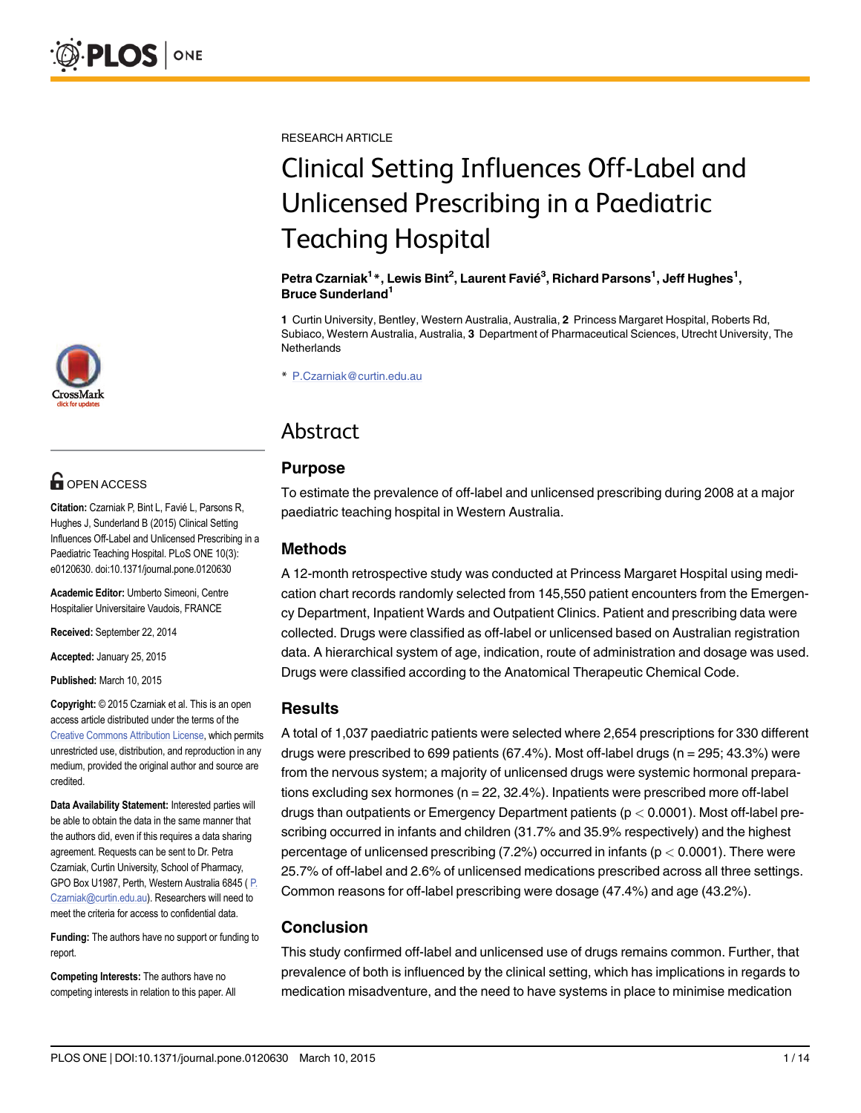

# **G** OPEN ACCESS

Citation: Czarniak P, Bint L, Favié L, Parsons R, Hughes J, Sunderland B (2015) Clinical Setting Influences Off-Label and Unlicensed Prescribing in a Paediatric Teaching Hospital. PLoS ONE 10(3): e0120630. doi:10.1371/journal.pone.0120630

Academic Editor: Umberto Simeoni, Centre Hospitalier Universitaire Vaudois, FRANCE

Received: September 22, 2014

Accepted: January 25, 2015

Published: March 10, 2015

Copyright: © 2015 Czarniak et al. This is an open access article distributed under the terms of the [Creative Commons Attribution License,](http://creativecommons.org/licenses/by/4.0/) which permits unrestricted use, distribution, and reproduction in any medium, provided the original author and source are credited.

Data Availability Statement: Interested parties will be able to obtain the data in the same manner that the authors did, even if this requires a data sharing agreement. Requests can be sent to Dr. Petra Czarniak, Curtin University, School of Pharmacy, GPO Box U1987, Perth, Western Australia 6845 ( P. Czarniak@curtin.edu.au). Researchers will need to meet the criteria for access to confidential data.

Funding: The authors have no support or funding to report.

Competing Interests: The authors have no competing interests in relation to this paper. All RESEARCH ARTICLE

# Clinical Setting Influences Off-Label and Unlicensed Prescribing in a Paediatric Teaching Hospital

#### Petra Czarniak<sup>1</sup>\*, Lewis Bint<sup>2</sup>, Laurent Favié<sup>3</sup>, Richard Parsons<sup>1</sup>, Jeff Hughes<sup>1</sup>, Bruce Sunderland<sup>1</sup>

1 Curtin University, Bentley, Western Australia, Australia, 2 Princess Margaret Hospital, Roberts Rd, Subiaco, Western Australia, Australia, 3 Department of Pharmaceutical Sciences, Utrecht University, The **Netherlands** 

\* P.Czarniak@curtin.edu.au

# Abstract

## **Purpose**

To estimate the prevalence of off-label and unlicensed prescribing during 2008 at a major paediatric teaching hospital in Western Australia.

## Methods

A 12-month retrospective study was conducted at Princess Margaret Hospital using medication chart records randomly selected from 145,550 patient encounters from the Emergency Department, Inpatient Wards and Outpatient Clinics. Patient and prescribing data were collected. Drugs were classified as off-label or unlicensed based on Australian registration data. A hierarchical system of age, indication, route of administration and dosage was used. Drugs were classified according to the Anatomical Therapeutic Chemical Code.

#### **Results**

A total of 1,037 paediatric patients were selected where 2,654 prescriptions for 330 different drugs were prescribed to 699 patients (67.4%). Most off-label drugs (n = 295; 43.3%) were from the nervous system; a majority of unlicensed drugs were systemic hormonal preparations excluding sex hormones ( $n = 22, 32.4\%$ ). Inpatients were prescribed more off-label drugs than outpatients or Emergency Department patients (p < 0.0001). Most off-label prescribing occurred in infants and children (31.7% and 35.9% respectively) and the highest percentage of unlicensed prescribing  $(7.2%)$  occurred in infants  $(p < 0.0001)$ . There were 25.7% of off-label and 2.6% of unlicensed medications prescribed across all three settings. Common reasons for off-label prescribing were dosage (47.4%) and age (43.2%).

## Conclusion

This study confirmed off-label and unlicensed use of drugs remains common. Further, that prevalence of both is influenced by the clinical setting, which has implications in regards to medication misadventure, and the need to have systems in place to minimise medication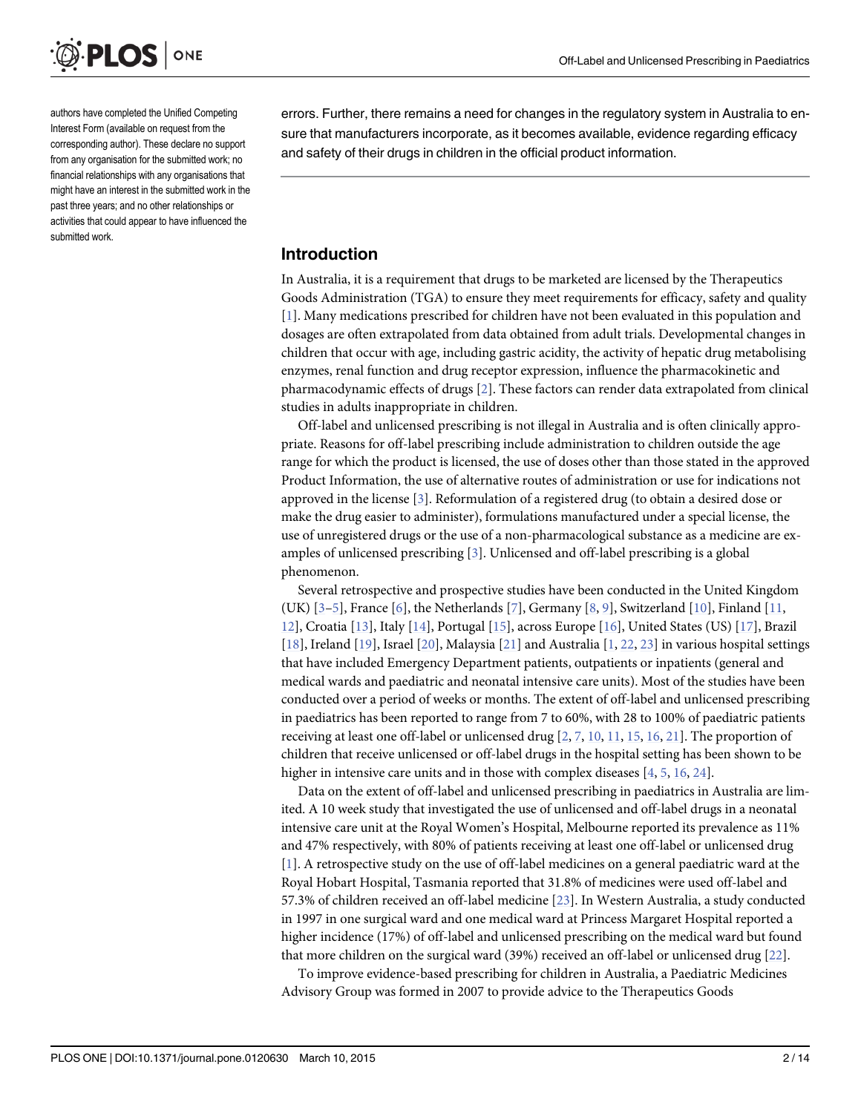<span id="page-1-0"></span>

authors have completed the Unified Competing Interest Form (available on request from the corresponding author). These declare no support from any organisation for the submitted work; no financial relationships with any organisations that might have an interest in the submitted work in the past three years; and no other relationships or activities that could appear to have influenced the submitted work.

errors. Further, there remains a need for changes in the regulatory system in Australia to ensure that manufacturers incorporate, as it becomes available, evidence regarding efficacy and safety of their drugs in children in the official product information.

## Introduction

In Australia, it is a requirement that drugs to be marketed are licensed by the Therapeutics Goods Administration (TGA) to ensure they meet requirements for efficacy, safety and quality [\[1](#page-11-0)]. Many medications prescribed for children have not been evaluated in this population and dosages are often extrapolated from data obtained from adult trials. Developmental changes in children that occur with age, including gastric acidity, the activity of hepatic drug metabolising enzymes, renal function and drug receptor expression, influence the pharmacokinetic and pharmacodynamic effects of drugs [\[2](#page-11-0)]. These factors can render data extrapolated from clinical studies in adults inappropriate in children.

Off-label and unlicensed prescribing is not illegal in Australia and is often clinically appropriate. Reasons for off-label prescribing include administration to children outside the age range for which the product is licensed, the use of doses other than those stated in the approved Product Information, the use of alternative routes of administration or use for indications not approved in the license [[3\]](#page-12-0). Reformulation of a registered drug (to obtain a desired dose or make the drug easier to administer), formulations manufactured under a special license, the use of unregistered drugs or the use of a non-pharmacological substance as a medicine are examples of unlicensed prescribing [[3](#page-12-0)]. Unlicensed and off-label prescribing is a global phenomenon.

Several retrospective and prospective studies have been conducted in the United Kingdom (UK)  $[3-5]$  $[3-5]$  $[3-5]$  $[3-5]$ , France  $[6]$  $[6]$  $[6]$ , the Netherlands [[7](#page-12-0)], Germany  $[8, 9]$  $[8, 9]$  $[8, 9]$  $[8, 9]$ , Switzerland [\[10\]](#page-12-0), Finland [\[11,](#page-12-0) [12\]](#page-12-0), Croatia [[13](#page-12-0)], Italy [[14](#page-12-0)], Portugal [[15](#page-12-0)], across Europe [\[16\]](#page-12-0), United States (US) [\[17\]](#page-12-0), Brazil [\[18](#page-12-0)], Ireland [\[19\]](#page-12-0), Israel [[20](#page-12-0)], Malaysia [\[21\]](#page-12-0) and Australia [\[1](#page-11-0), [22](#page-12-0), [23\]](#page-12-0) in various hospital settings that have included Emergency Department patients, outpatients or inpatients (general and medical wards and paediatric and neonatal intensive care units). Most of the studies have been conducted over a period of weeks or months. The extent of off-label and unlicensed prescribing in paediatrics has been reported to range from 7 to 60%, with 28 to 100% of paediatric patients receiving at least one off-label or unlicensed drug  $[2, 7, 10, 11, 15, 16, 21]$  $[2, 7, 10, 11, 15, 16, 21]$  $[2, 7, 10, 11, 15, 16, 21]$  $[2, 7, 10, 11, 15, 16, 21]$  $[2, 7, 10, 11, 15, 16, 21]$  $[2, 7, 10, 11, 15, 16, 21]$  $[2, 7, 10, 11, 15, 16, 21]$  $[2, 7, 10, 11, 15, 16, 21]$  $[2, 7, 10, 11, 15, 16, 21]$  $[2, 7, 10, 11, 15, 16, 21]$  $[2, 7, 10, 11, 15, 16, 21]$  $[2, 7, 10, 11, 15, 16, 21]$  $[2, 7, 10, 11, 15, 16, 21]$  $[2, 7, 10, 11, 15, 16, 21]$  $[2, 7, 10, 11, 15, 16, 21]$ . The proportion of children that receive unlicensed or off-label drugs in the hospital setting has been shown to be higher in intensive care units and in those with complex diseases  $[4, 5, 16, 24]$  $[4, 5, 16, 24]$  $[4, 5, 16, 24]$  $[4, 5, 16, 24]$  $[4, 5, 16, 24]$  $[4, 5, 16, 24]$  $[4, 5, 16, 24]$  $[4, 5, 16, 24]$ .

Data on the extent of off-label and unlicensed prescribing in paediatrics in Australia are limited. A 10 week study that investigated the use of unlicensed and off-label drugs in a neonatal intensive care unit at the Royal Women's Hospital, Melbourne reported its prevalence as 11% and 47% respectively, with 80% of patients receiving at least one off-label or unlicensed drug [\[1](#page-11-0)]. A retrospective study on the use of off-label medicines on a general paediatric ward at the Royal Hobart Hospital, Tasmania reported that 31.8% of medicines were used off-label and 57.3% of children received an off-label medicine [[23](#page-12-0)]. In Western Australia, a study conducted in 1997 in one surgical ward and one medical ward at Princess Margaret Hospital reported a higher incidence (17%) of off-label and unlicensed prescribing on the medical ward but found that more children on the surgical ward (39%) received an off-label or unlicensed drug [\[22\]](#page-12-0).

To improve evidence-based prescribing for children in Australia, a Paediatric Medicines Advisory Group was formed in 2007 to provide advice to the Therapeutics Goods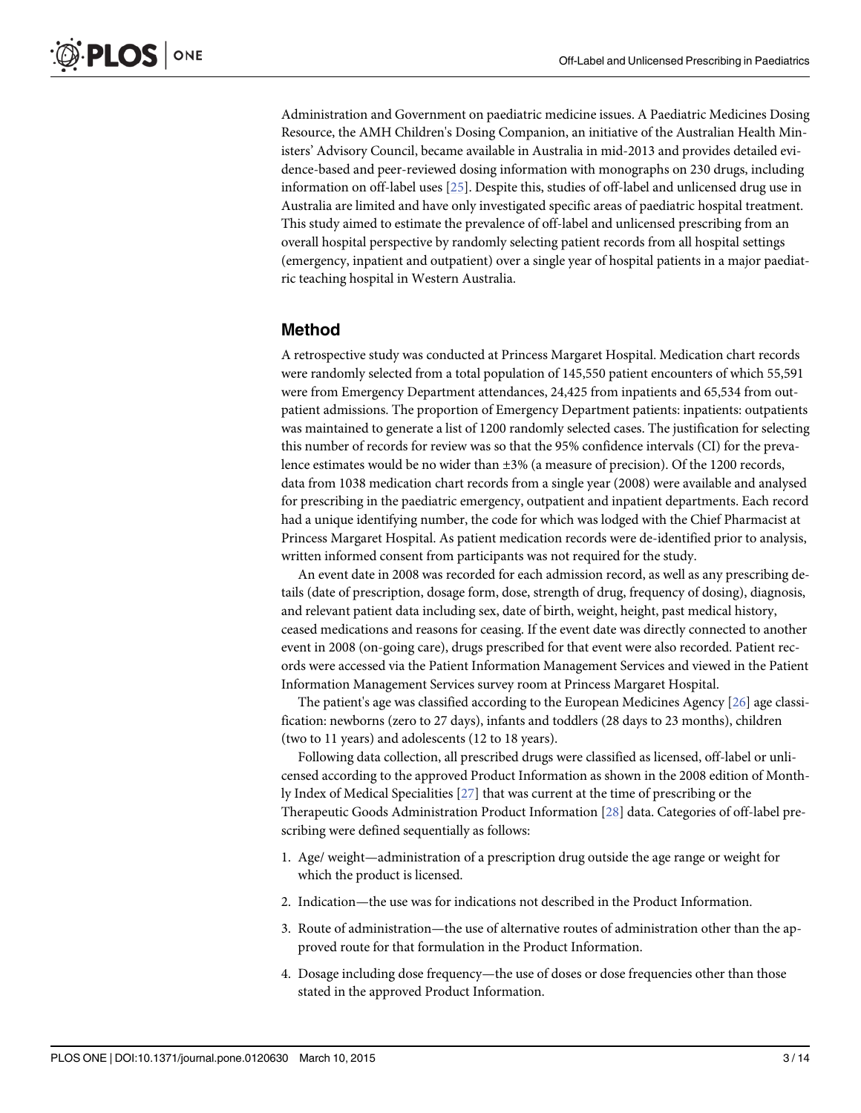<span id="page-2-0"></span>Administration and Government on paediatric medicine issues. A Paediatric Medicines Dosing Resource, the AMH Children's Dosing Companion, an initiative of the Australian Health Ministers' Advisory Council, became available in Australia in mid-2013 and provides detailed evidence-based and peer-reviewed dosing information with monographs on 230 drugs, including information on off-label uses [\[25](#page-13-0)]. Despite this, studies of off-label and unlicensed drug use in Australia are limited and have only investigated specific areas of paediatric hospital treatment. This study aimed to estimate the prevalence of off-label and unlicensed prescribing from an overall hospital perspective by randomly selecting patient records from all hospital settings (emergency, inpatient and outpatient) over a single year of hospital patients in a major paediatric teaching hospital in Western Australia.

#### Method

A retrospective study was conducted at Princess Margaret Hospital. Medication chart records were randomly selected from a total population of 145,550 patient encounters of which 55,591 were from Emergency Department attendances, 24,425 from inpatients and 65,534 from outpatient admissions. The proportion of Emergency Department patients: inpatients: outpatients was maintained to generate a list of 1200 randomly selected cases. The justification for selecting this number of records for review was so that the 95% confidence intervals (CI) for the prevalence estimates would be no wider than  $\pm 3\%$  (a measure of precision). Of the 1200 records, data from 1038 medication chart records from a single year (2008) were available and analysed for prescribing in the paediatric emergency, outpatient and inpatient departments. Each record had a unique identifying number, the code for which was lodged with the Chief Pharmacist at Princess Margaret Hospital. As patient medication records were de-identified prior to analysis, written informed consent from participants was not required for the study.

An event date in 2008 was recorded for each admission record, as well as any prescribing details (date of prescription, dosage form, dose, strength of drug, frequency of dosing), diagnosis, and relevant patient data including sex, date of birth, weight, height, past medical history, ceased medications and reasons for ceasing. If the event date was directly connected to another event in 2008 (on-going care), drugs prescribed for that event were also recorded. Patient records were accessed via the Patient Information Management Services and viewed in the Patient Information Management Services survey room at Princess Margaret Hospital.

The patient's age was classified according to the European Medicines Agency [[26\]](#page-13-0) age classification: newborns (zero to 27 days), infants and toddlers (28 days to 23 months), children (two to 11 years) and adolescents (12 to 18 years).

Following data collection, all prescribed drugs were classified as licensed, off-label or unlicensed according to the approved Product Information as shown in the 2008 edition of Monthly Index of Medical Specialities [[27\]](#page-13-0) that was current at the time of prescribing or the Therapeutic Goods Administration Product Information [[28\]](#page-13-0) data. Categories of off-label prescribing were defined sequentially as follows:

- 1. Age/ weight—administration of a prescription drug outside the age range or weight for which the product is licensed.
- 2. Indication—the use was for indications not described in the Product Information.
- 3. Route of administration—the use of alternative routes of administration other than the approved route for that formulation in the Product Information.
- 4. Dosage including dose frequency—the use of doses or dose frequencies other than those stated in the approved Product Information.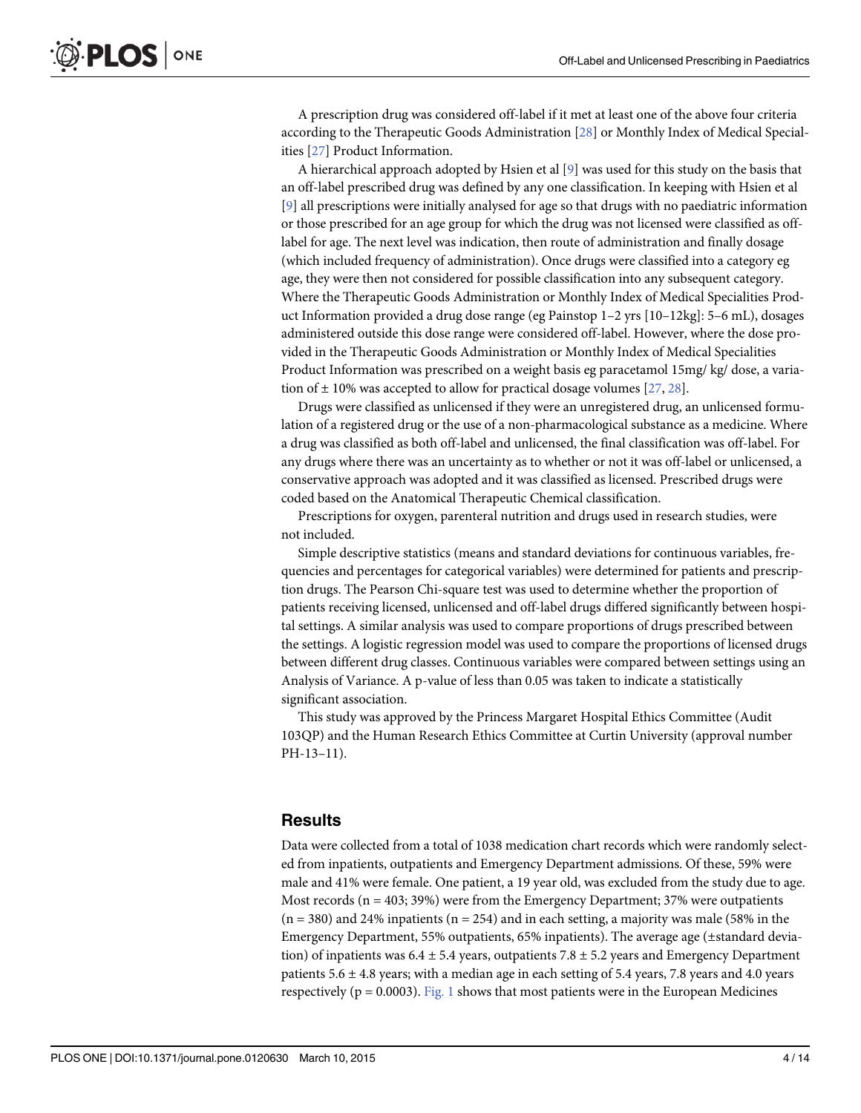<span id="page-3-0"></span>A prescription drug was considered off-label if it met at least one of the above four criteria according to the Therapeutic Goods Administration [\[28\]](#page-13-0) or Monthly Index of Medical Specialities [[27](#page-13-0)] Product Information.

A hierarchical approach adopted by Hsien et al  $[9]$  $[9]$  $[9]$  was used for this study on the basis that an off-label prescribed drug was defined by any one classification. In keeping with Hsien et al [\[9](#page-12-0)] all prescriptions were initially analysed for age so that drugs with no paediatric information or those prescribed for an age group for which the drug was not licensed were classified as offlabel for age. The next level was indication, then route of administration and finally dosage (which included frequency of administration). Once drugs were classified into a category eg age, they were then not considered for possible classification into any subsequent category. Where the Therapeutic Goods Administration or Monthly Index of Medical Specialities Product Information provided a drug dose range (eg Painstop 1–2 yrs [10–12kg]: 5–6 mL), dosages administered outside this dose range were considered off-label. However, where the dose provided in the Therapeutic Goods Administration or Monthly Index of Medical Specialities Product Information was prescribed on a weight basis eg paracetamol 15mg/ kg/ dose, a variation of  $\pm$  10% was accepted to allow for practical dosage volumes [\[27,](#page-13-0) [28\]](#page-13-0).

Drugs were classified as unlicensed if they were an unregistered drug, an unlicensed formulation of a registered drug or the use of a non-pharmacological substance as a medicine. Where a drug was classified as both off-label and unlicensed, the final classification was off-label. For any drugs where there was an uncertainty as to whether or not it was off-label or unlicensed, a conservative approach was adopted and it was classified as licensed. Prescribed drugs were coded based on the Anatomical Therapeutic Chemical classification.

Prescriptions for oxygen, parenteral nutrition and drugs used in research studies, were not included.

Simple descriptive statistics (means and standard deviations for continuous variables, frequencies and percentages for categorical variables) were determined for patients and prescription drugs. The Pearson Chi-square test was used to determine whether the proportion of patients receiving licensed, unlicensed and off-label drugs differed significantly between hospital settings. A similar analysis was used to compare proportions of drugs prescribed between the settings. A logistic regression model was used to compare the proportions of licensed drugs between different drug classes. Continuous variables were compared between settings using an Analysis of Variance. A p-value of less than 0.05 was taken to indicate a statistically significant association.

This study was approved by the Princess Margaret Hospital Ethics Committee (Audit 103QP) and the Human Research Ethics Committee at Curtin University (approval number PH-13–11).

#### **Results**

Data were collected from a total of 1038 medication chart records which were randomly selected from inpatients, outpatients and Emergency Department admissions. Of these, 59% were male and 41% were female. One patient, a 19 year old, was excluded from the study due to age. Most records ( $n = 403$ ; 39%) were from the Emergency Department; 37% were outpatients  $(n = 380)$  and 24% inpatients  $(n = 254)$  and in each setting, a majority was male (58% in the Emergency Department, 55% outpatients, 65% inpatients). The average age (±standard deviation) of inpatients was  $6.4 \pm 5.4$  years, outpatients  $7.8 \pm 5.2$  years and Emergency Department patients  $5.6 \pm 4.8$  years; with a median age in each setting of 5.4 years, 7.8 years and 4.0 years respectively ( $p = 0.0003$ ). [Fig. 1](#page-4-0) shows that most patients were in the European Medicines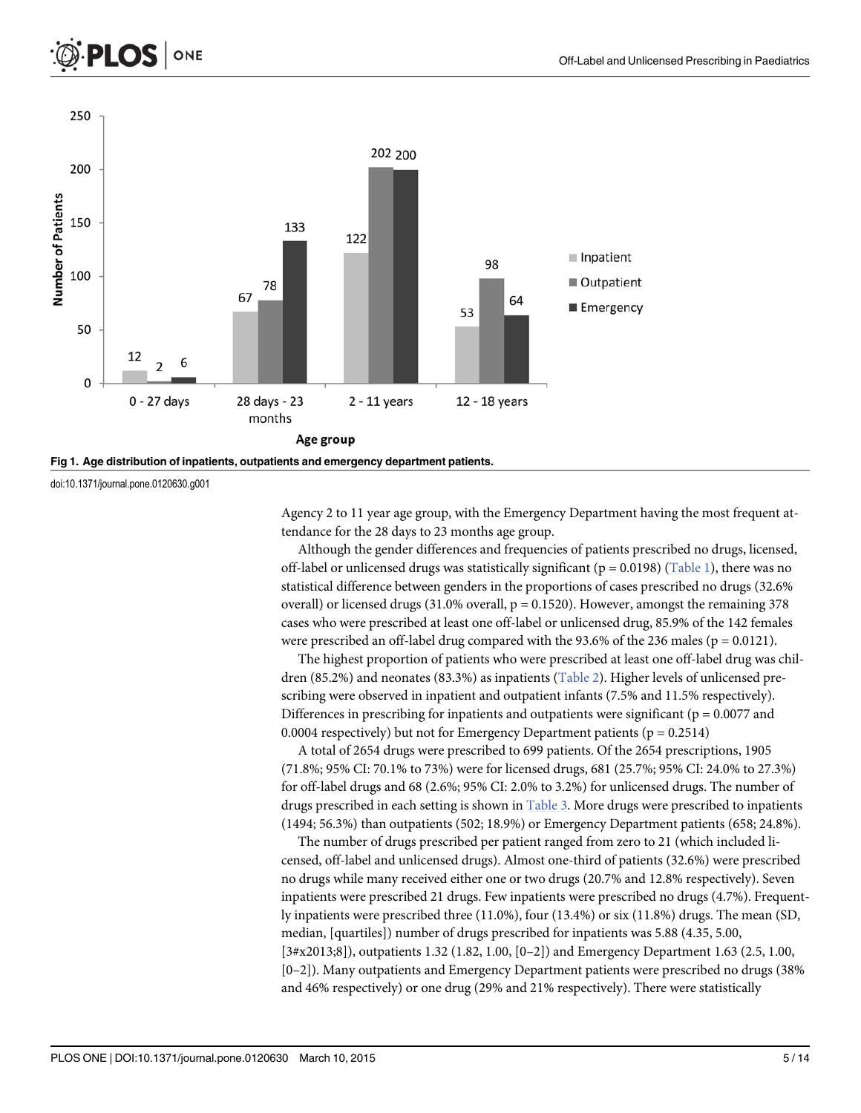<span id="page-4-0"></span>



doi:10.1371/journal.pone.0120630.g001

Agency 2 to 11 year age group, with the Emergency Department having the most frequent attendance for the 28 days to 23 months age group.

Although the gender differences and frequencies of patients prescribed no drugs, licensed, off-label or unlicensed drugs was statistically significant ( $p = 0.0198$ ) [\(Table 1](#page-5-0)), there was no statistical difference between genders in the proportions of cases prescribed no drugs (32.6% overall) or licensed drugs (31.0% overall,  $p = 0.1520$ ). However, amongst the remaining 378 cases who were prescribed at least one off-label or unlicensed drug, 85.9% of the 142 females were prescribed an off-label drug compared with the 93.6% of the 236 males ( $p = 0.0121$ ).

The highest proportion of patients who were prescribed at least one off-label drug was chil-dren (85.2%) and neonates (83.3%) as inpatients ([Table 2](#page-5-0)). Higher levels of unlicensed prescribing were observed in inpatient and outpatient infants (7.5% and 11.5% respectively). Differences in prescribing for inpatients and outpatients were significant ( $p = 0.0077$  and 0.0004 respectively) but not for Emergency Department patients ( $p = 0.2514$ )

A total of 2654 drugs were prescribed to 699 patients. Of the 2654 prescriptions, 1905 (71.8%; 95% CI: 70.1% to 73%) were for licensed drugs, 681 (25.7%; 95% CI: 24.0% to 27.3%) for off-label drugs and 68 (2.6%; 95% CI: 2.0% to 3.2%) for unlicensed drugs. The number of drugs prescribed in each setting is shown in [Table 3.](#page-6-0) More drugs were prescribed to inpatients (1494; 56.3%) than outpatients (502; 18.9%) or Emergency Department patients (658; 24.8%).

The number of drugs prescribed per patient ranged from zero to 21 (which included licensed, off-label and unlicensed drugs). Almost one-third of patients (32.6%) were prescribed no drugs while many received either one or two drugs (20.7% and 12.8% respectively). Seven inpatients were prescribed 21 drugs. Few inpatients were prescribed no drugs (4.7%). Frequently inpatients were prescribed three (11.0%), four (13.4%) or six (11.8%) drugs. The mean (SD, median, [quartiles]) number of drugs prescribed for inpatients was 5.88 (4.35, 5.00, [3#x2013;8]), outpatients 1.32 (1.82, 1.00, [0-2]) and Emergency Department 1.63 (2.5, 1.00, [0–2]). Many outpatients and Emergency Department patients were prescribed no drugs (38% and 46% respectively) or one drug (29% and 21% respectively). There were statistically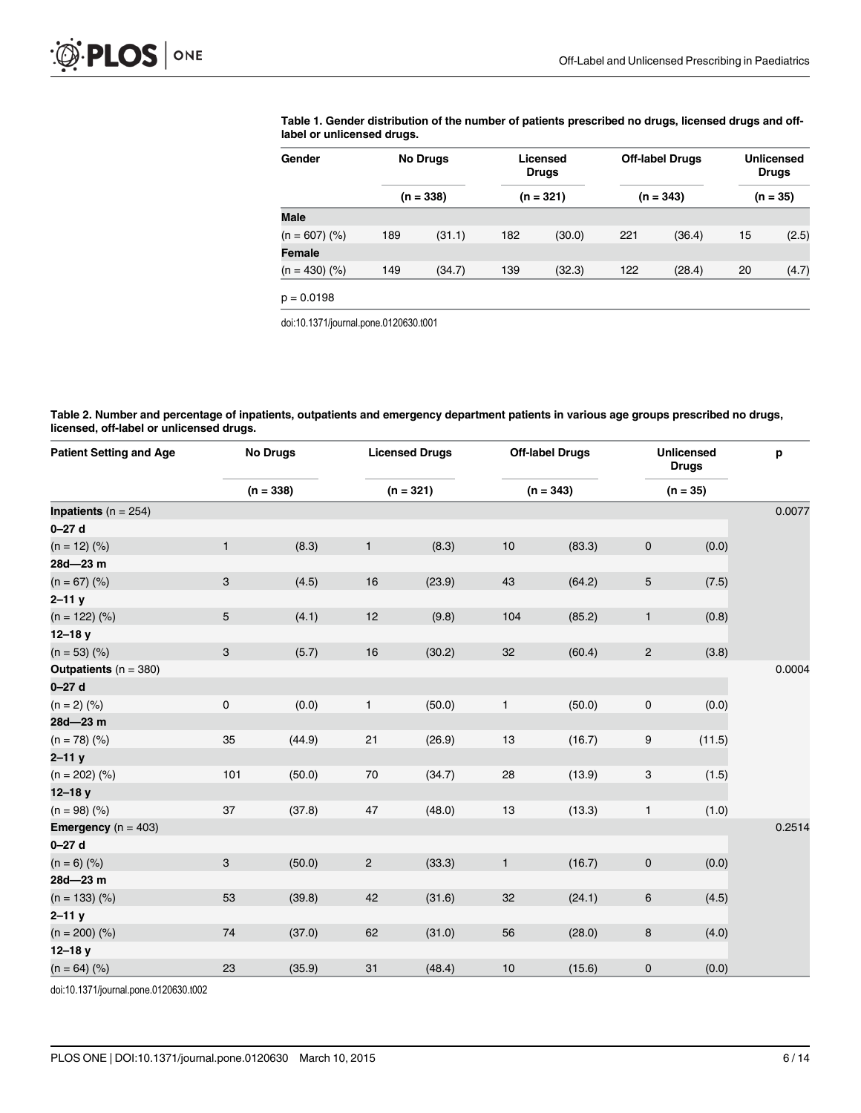<span id="page-5-0"></span>

|  |                            |  |  | Table 1. Gender distribution of the number of patients prescribed no drugs, licensed drugs and off- |  |
|--|----------------------------|--|--|-----------------------------------------------------------------------------------------------------|--|
|  | label or unlicensed drugs. |  |  |                                                                                                     |  |

| Gender             | <b>No Drugs</b> |             | Licensed<br><b>Drugs</b> |             |     | <b>Off-label Drugs</b> | <b>Unlicensed</b><br><b>Drugs</b> |            |
|--------------------|-----------------|-------------|--------------------------|-------------|-----|------------------------|-----------------------------------|------------|
|                    |                 | $(n = 338)$ |                          | $(n = 321)$ |     | $(n = 343)$            |                                   | $(n = 35)$ |
| <b>Male</b>        |                 |             |                          |             |     |                        |                                   |            |
| $(n = 607)$ (%)    | 189             | (31.1)      | 182                      | (30.0)      | 221 | (36.4)                 | 15                                | (2.5)      |
| <b>Female</b>      |                 |             |                          |             |     |                        |                                   |            |
| $(n = 430)$ $(\%)$ | 149             | (34.7)      | 139                      | (32.3)      | 122 | (28.4)                 | 20                                | (4.7)      |
| $p = 0.0198$       |                 |             |                          |             |     |                        |                                   |            |

doi:10.1371/journal.pone.0120630.t001

[Table 2.](#page-4-0) Number and percentage of inpatients, outpatients and emergency department patients in various age groups prescribed no drugs, licensed, off-label or unlicensed drugs.

| <b>Patient Setting and Age</b> | <b>No Drugs</b>     |             | <b>Licensed Drugs</b> |             | <b>Off-label Drugs</b> |             | <b>Unlicensed</b><br><b>Drugs</b> |            | p      |
|--------------------------------|---------------------|-------------|-----------------------|-------------|------------------------|-------------|-----------------------------------|------------|--------|
|                                |                     | $(n = 338)$ |                       | $(n = 321)$ |                        | $(n = 343)$ |                                   | $(n = 35)$ |        |
| <b>Inpatients</b> $(n = 254)$  |                     |             |                       |             |                        |             |                                   |            | 0.0077 |
| $0 - 27$ d                     |                     |             |                       |             |                        |             |                                   |            |        |
| $(n = 12)$ (%)                 | $\mathbf{1}$        | (8.3)       | $\mathbf{1}$          | (8.3)       | 10                     | (83.3)      | $\mathbf 0$                       | (0.0)      |        |
| 28d-23 m                       |                     |             |                       |             |                        |             |                                   |            |        |
| $(n = 67)$ (%)                 | 3                   | (4.5)       | 16                    | (23.9)      | 43                     | (64.2)      | $5\phantom{.0}$                   | (7.5)      |        |
| $2 - 11y$                      |                     |             |                       |             |                        |             |                                   |            |        |
| $(n = 122)$ (%)                | $\sqrt{5}$          | (4.1)       | 12                    | (9.8)       | 104                    | (85.2)      | $\mathbf{1}$                      | (0.8)      |        |
| $12 - 18y$                     |                     |             |                       |             |                        |             |                                   |            |        |
| $(n = 53)$ (%)                 | 3                   | (5.7)       | 16                    | (30.2)      | 32                     | (60.4)      | $\sqrt{2}$                        | (3.8)      |        |
| <b>Outpatients</b> $(n = 380)$ |                     |             |                       |             |                        |             |                                   |            | 0.0004 |
| $0 - 27 d$                     |                     |             |                       |             |                        |             |                                   |            |        |
| $(n = 2)$ (%)                  | $\mathsf{O}\xspace$ | (0.0)       | $\mathbf{1}$          | (50.0)      | $\mathbf{1}$           | (50.0)      | $\mathbf 0$                       | (0.0)      |        |
| 28d-23 m                       |                     |             |                       |             |                        |             |                                   |            |        |
| $(n = 78)$ (%)                 | 35                  | (44.9)      | 21                    | (26.9)      | 13                     | (16.7)      | 9                                 | (11.5)     |        |
| $2 - 11y$                      |                     |             |                       |             |                        |             |                                   |            |        |
| $(n = 202)$ (%)                | 101                 | (50.0)      | $70\,$                | (34.7)      | 28                     | (13.9)      | $\ensuremath{\mathsf{3}}$         | (1.5)      |        |
| $12 - 18y$                     |                     |             |                       |             |                        |             |                                   |            |        |
| $(n = 98)$ (%)                 | $37\,$              | (37.8)      | $47\,$                | (48.0)      | $13$                   | (13.3)      | 1                                 | (1.0)      |        |
| <b>Emergency</b> ( $n = 403$ ) |                     |             |                       |             |                        |             |                                   |            | 0.2514 |
| $0 - 27$ d                     |                     |             |                       |             |                        |             |                                   |            |        |
| $(n = 6)$ (%)                  | $\sqrt{3}$          | (50.0)      | $\sqrt{2}$            | (33.3)      | $\mathbf{1}$           | (16.7)      | $\mathsf{O}\xspace$               | (0.0)      |        |
| 28d-23 m                       |                     |             |                       |             |                        |             |                                   |            |        |
| $(n = 133)$ (%)                | 53                  | (39.8)      | 42                    | (31.6)      | 32                     | (24.1)      | $\,6$                             | (4.5)      |        |
| $2 - 11y$                      |                     |             |                       |             |                        |             |                                   |            |        |
| $(n = 200)$ (%)                | $74\,$              | (37.0)      | 62                    | (31.0)      | 56                     | (28.0)      | $\bf 8$                           | (4.0)      |        |
| $12 - 18y$                     |                     |             |                       |             |                        |             |                                   |            |        |
| $(n = 64)$ (%)                 | 23                  | (35.9)      | 31                    | (48.4)      | 10                     | (15.6)      | $\mathbf 0$                       | (0.0)      |        |

doi:10.1371/journal.pone.0120630.t002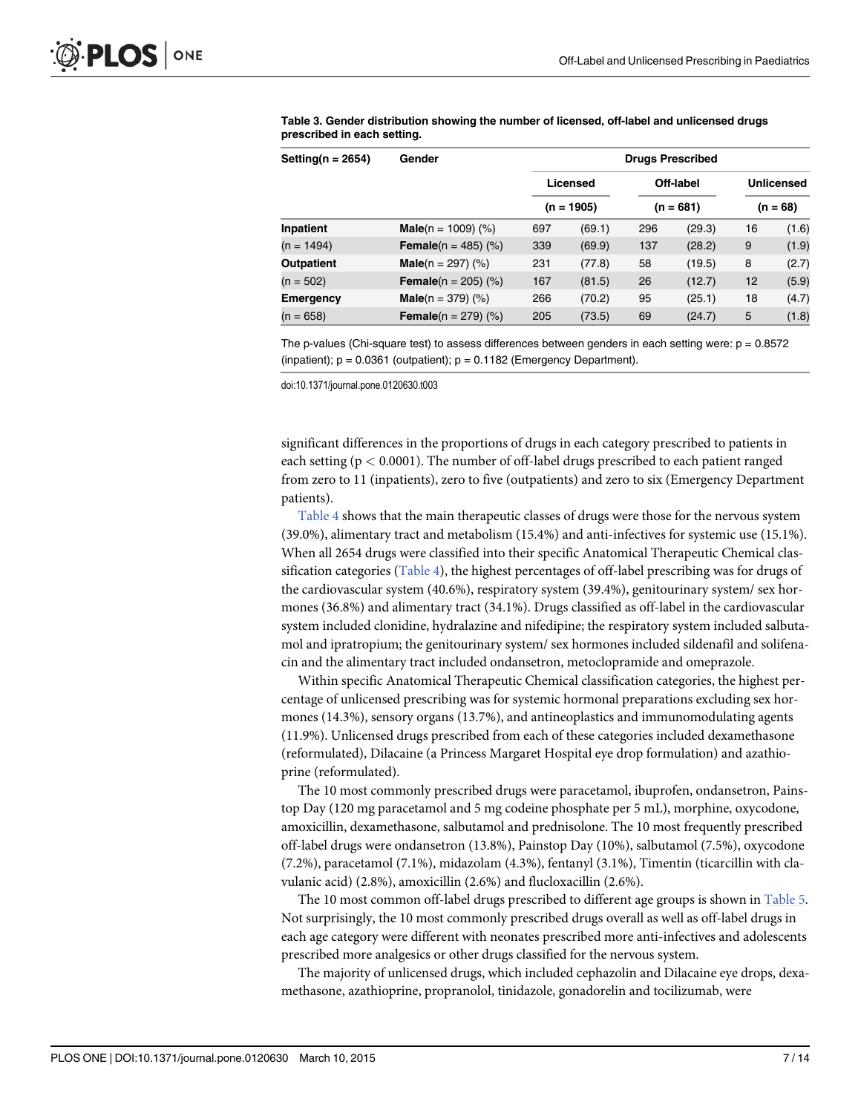| Setting( $n = 2654$ ) | Gender                          | <b>Drugs Prescribed</b> |              |     |             |                          |       |  |  |  |
|-----------------------|---------------------------------|-------------------------|--------------|-----|-------------|--------------------------|-------|--|--|--|
|                       |                                 |                         | Licensed     |     | Off-label   | Unlicensed<br>$(n = 68)$ |       |  |  |  |
|                       |                                 |                         | $(n = 1905)$ |     | $(n = 681)$ |                          |       |  |  |  |
| Inpatient             | <b>Male</b> ( $n = 1009$ ) (%)  | 697                     | (69.1)       | 296 | (29.3)      | 16                       | (1.6) |  |  |  |
| $(n = 1494)$          | <b>Female</b> ( $n = 485$ ) (%) | 339                     | (69.9)       | 137 | (28.2)      | 9                        | (1.9) |  |  |  |
| <b>Outpatient</b>     | <b>Male</b> ( $n = 297$ ) (%)   | 231                     | (77.8)       | 58  | (19.5)      | 8                        | (2.7) |  |  |  |
| $(n = 502)$           | <b>Female</b> ( $n = 205$ ) (%) | 167                     | (81.5)       | 26  | (12.7)      | 12                       | (5.9) |  |  |  |
| <b>Emergency</b>      | <b>Male</b> ( $n = 379$ ) (%)   | 266                     | (70.2)       | 95  | (25.1)      | 18                       | (4.7) |  |  |  |
| $(n = 658)$           | <b>Female</b> ( $n = 279$ ) (%) | 205                     | (73.5)       | 69  | (24.7)      | 5                        | (1.8) |  |  |  |

<span id="page-6-0"></span>[Table 3.](#page-4-0) Gender distribution showing the number of licensed, off-label and unlicensed drugs prescribed in each setting.

The p-values (Chi-square test) to assess differences between genders in each setting were:  $p = 0.8572$ (inpatient);  $p = 0.0361$  (outpatient);  $p = 0.1182$  (Emergency Department).

doi:10.1371/journal.pone.0120630.t003

significant differences in the proportions of drugs in each category prescribed to patients in each setting ( $p < 0.0001$ ). The number of off-label drugs prescribed to each patient ranged from zero to 11 (inpatients), zero to five (outpatients) and zero to six (Emergency Department patients).

[Table 4](#page-7-0) shows that the main therapeutic classes of drugs were those for the nervous system (39.0%), alimentary tract and metabolism (15.4%) and anti-infectives for systemic use (15.1%). When all 2654 drugs were classified into their specific Anatomical Therapeutic Chemical classification categories ([Table 4\)](#page-7-0), the highest percentages of off-label prescribing was for drugs of the cardiovascular system (40.6%), respiratory system (39.4%), genitourinary system/ sex hormones (36.8%) and alimentary tract (34.1%). Drugs classified as off-label in the cardiovascular system included clonidine, hydralazine and nifedipine; the respiratory system included salbutamol and ipratropium; the genitourinary system/ sex hormones included sildenafil and solifenacin and the alimentary tract included ondansetron, metoclopramide and omeprazole.

Within specific Anatomical Therapeutic Chemical classification categories, the highest percentage of unlicensed prescribing was for systemic hormonal preparations excluding sex hormones (14.3%), sensory organs (13.7%), and antineoplastics and immunomodulating agents (11.9%). Unlicensed drugs prescribed from each of these categories included dexamethasone (reformulated), Dilacaine (a Princess Margaret Hospital eye drop formulation) and azathioprine (reformulated).

The 10 most commonly prescribed drugs were paracetamol, ibuprofen, ondansetron, Painstop Day (120 mg paracetamol and 5 mg codeine phosphate per 5 mL), morphine, oxycodone, amoxicillin, dexamethasone, salbutamol and prednisolone. The 10 most frequently prescribed off-label drugs were ondansetron (13.8%), Painstop Day (10%), salbutamol (7.5%), oxycodone (7.2%), paracetamol (7.1%), midazolam (4.3%), fentanyl (3.1%), Timentin (ticarcillin with clavulanic acid) (2.8%), amoxicillin (2.6%) and flucloxacillin (2.6%).

The 10 most common off-label drugs prescribed to different age groups is shown in [Table 5.](#page-8-0) Not surprisingly, the 10 most commonly prescribed drugs overall as well as off-label drugs in each age category were different with neonates prescribed more anti-infectives and adolescents prescribed more analgesics or other drugs classified for the nervous system.

The majority of unlicensed drugs, which included cephazolin and Dilacaine eye drops, dexamethasone, azathioprine, propranolol, tinidazole, gonadorelin and tocilizumab, were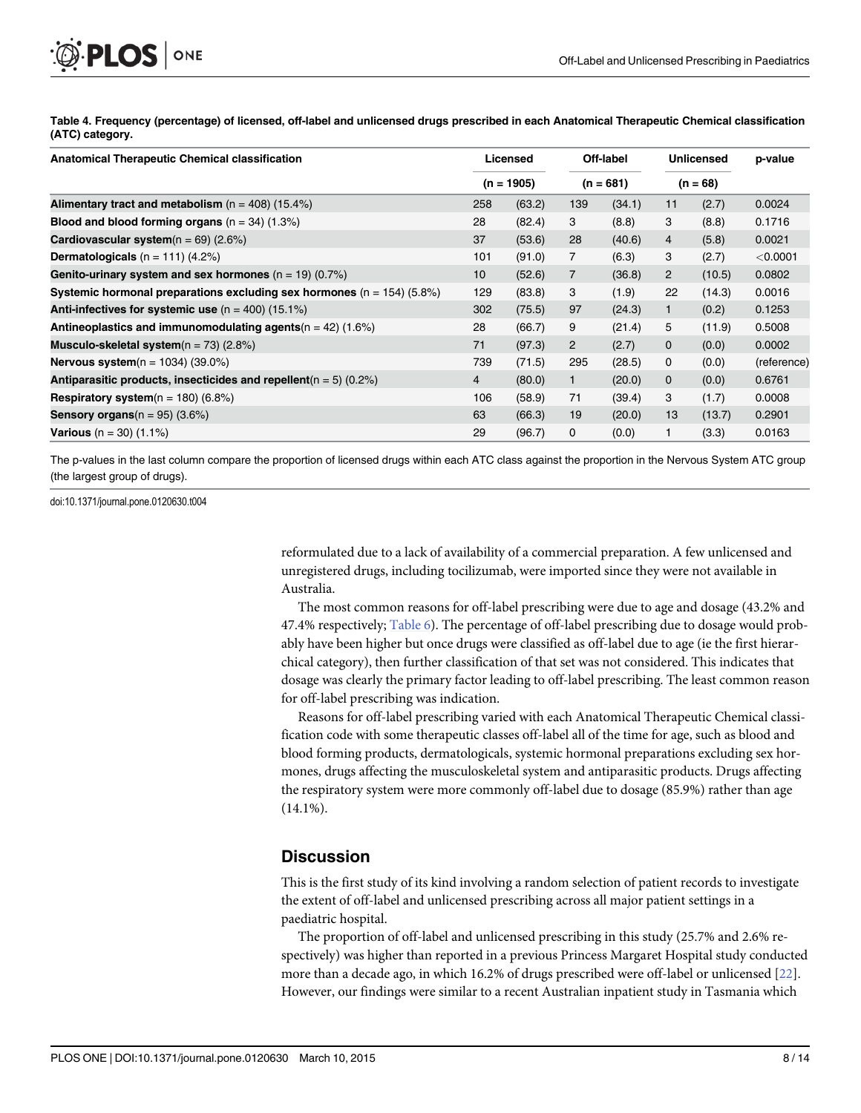<span id="page-7-0"></span>

[Table 4.](#page-6-0) Frequency (percentage) of licensed, off-label and unlicensed drugs prescribed in each Anatomical Therapeutic Chemical classification (ATC) category.

| <b>Anatomical Therapeutic Chemical classification</b>                      |                | Licensed | Off-label      |        | <b>Unlicensed</b> |        | p-value     |  |
|----------------------------------------------------------------------------|----------------|----------|----------------|--------|-------------------|--------|-------------|--|
|                                                                            | $(n = 1905)$   |          | $(n = 681)$    |        | $(n = 68)$        |        |             |  |
| Alimentary tract and metabolism $(n = 408)$ (15.4%)                        | 258            | (63.2)   | 139            | (34.1) | 11                | (2.7)  | 0.0024      |  |
| Blood and blood forming organs $(n = 34)$ (1.3%)                           | 28             | (82.4)   | 3              | (8.8)  | 3                 | (8.8)  | 0.1716      |  |
| <b>Cardiovascular system</b> ( $n = 69$ ) (2.6%)                           | 37             | (53.6)   | 28             | (40.6) | $\overline{4}$    | (5.8)  | 0.0021      |  |
| <b>Dermatologicals</b> $(n = 111)$ (4.2%)                                  | 101            | (91.0)   | $\overline{7}$ | (6.3)  | 3                 | (2.7)  | $<$ 0.0001  |  |
| Genito-urinary system and sex hormones $(n = 19)$ (0.7%)                   | 10             | (52.6)   | $\overline{7}$ | (36.8) | $\overline{2}$    | (10.5) | 0.0802      |  |
| Systemic hormonal preparations excluding sex hormones ( $n = 154$ ) (5.8%) | 129            | (83.8)   | 3              | (1.9)  | 22                | (14.3) | 0.0016      |  |
| Anti-infectives for systemic use $(n = 400)$ (15.1%)                       | 302            | (75.5)   | 97             | (24.3) |                   | (0.2)  | 0.1253      |  |
| Antineoplastics and immunomodulating agents( $n = 42$ ) (1.6%)             | 28             | (66.7)   | 9              | (21.4) | 5                 | (11.9) | 0.5008      |  |
| <b>Musculo-skeletal system</b> ( $n = 73$ ) (2.8%)                         | 71             | (97.3)   | $\overline{2}$ | (2.7)  | $\mathbf{0}$      | (0.0)  | 0.0002      |  |
| <b>Nervous system</b> $(n = 1034)$ (39.0%)                                 | 739            | (71.5)   | 295            | (28.5) | $\mathbf 0$       | (0.0)  | (reference) |  |
| Antiparasitic products, insecticides and repellent( $n = 5$ ) (0.2%)       | $\overline{4}$ | (80.0)   | 1              | (20.0) | $\mathbf{0}$      | (0.0)  | 0.6761      |  |
| <b>Respiratory system</b> $(n = 180)$ (6.8%)                               | 106            | (58.9)   | 71             | (39.4) | 3                 | (1.7)  | 0.0008      |  |
| <b>Sensory organs</b> $(n = 95)$ (3.6%)                                    | 63             | (66.3)   | 19             | (20.0) | 13                | (13.7) | 0.2901      |  |
| <b>Various</b> (n = 30) $(1.1\%)$                                          | 29             | (96.7)   | 0              | (0.0)  |                   | (3.3)  | 0.0163      |  |

The p-values in the last column compare the proportion of licensed drugs within each ATC class against the proportion in the Nervous System ATC group (the largest group of drugs).

doi:10.1371/journal.pone.0120630.t004

reformulated due to a lack of availability of a commercial preparation. A few unlicensed and unregistered drugs, including tocilizumab, were imported since they were not available in Australia.

The most common reasons for off-label prescribing were due to age and dosage (43.2% and 47.4% respectively; [Table 6](#page-8-0)). The percentage of off-label prescribing due to dosage would probably have been higher but once drugs were classified as off-label due to age (ie the first hierarchical category), then further classification of that set was not considered. This indicates that dosage was clearly the primary factor leading to off-label prescribing. The least common reason for off-label prescribing was indication.

Reasons for off-label prescribing varied with each Anatomical Therapeutic Chemical classification code with some therapeutic classes off-label all of the time for age, such as blood and blood forming products, dermatologicals, systemic hormonal preparations excluding sex hormones, drugs affecting the musculoskeletal system and antiparasitic products. Drugs affecting the respiratory system were more commonly off-label due to dosage (85.9%) rather than age  $(14.1\%)$ .

#### **Discussion**

This is the first study of its kind involving a random selection of patient records to investigate the extent of off-label and unlicensed prescribing across all major patient settings in a paediatric hospital.

The proportion of off-label and unlicensed prescribing in this study (25.7% and 2.6% respectively) was higher than reported in a previous Princess Margaret Hospital study conducted more than a decade ago, in which 16.2% of drugs prescribed were off-label or unlicensed [\[22\]](#page-12-0). However, our findings were similar to a recent Australian inpatient study in Tasmania which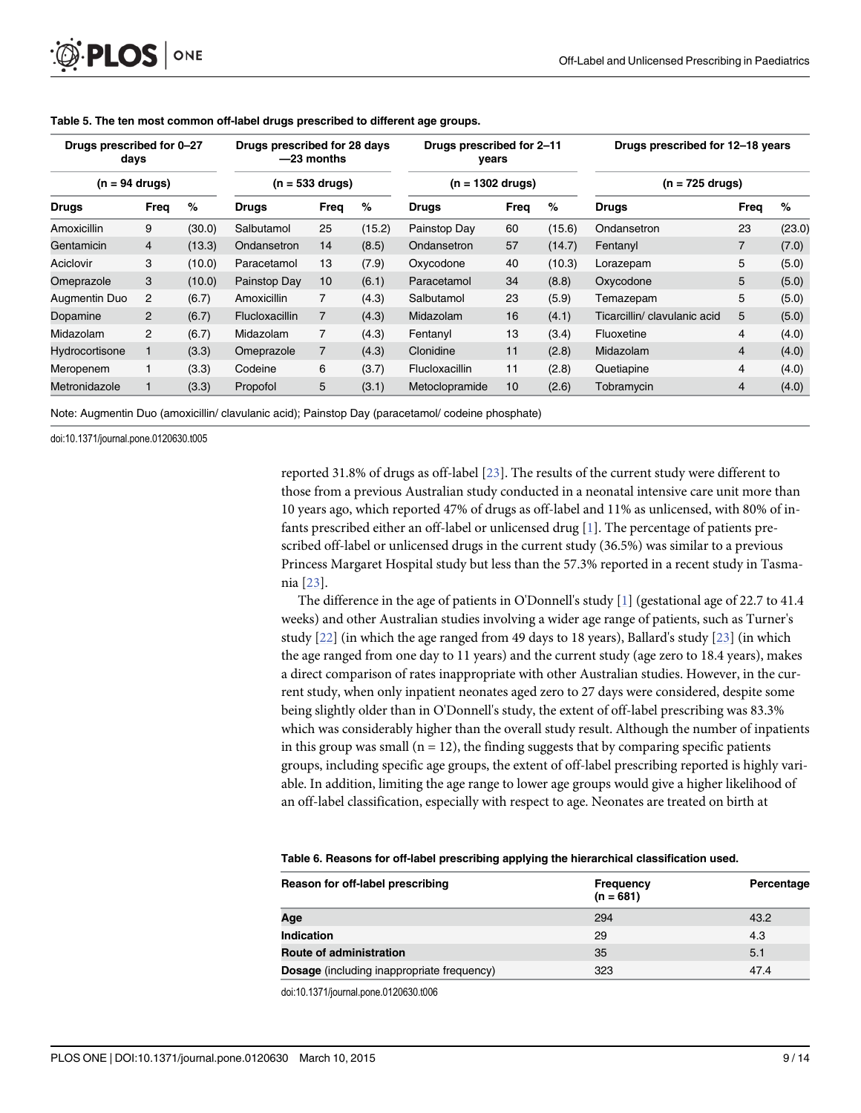| Drugs prescribed for 0-27<br>days<br>$(n = 94 \text{ drugs})$ |                |        | Drugs prescribed for 28 days<br>$-23$ months<br>$(n = 533$ drugs) |                |        | Drugs prescribed for 2-11<br>vears<br>$(n = 1302$ drugs) |      |        | Drugs prescribed for 12-18 years |                |        |  |
|---------------------------------------------------------------|----------------|--------|-------------------------------------------------------------------|----------------|--------|----------------------------------------------------------|------|--------|----------------------------------|----------------|--------|--|
|                                                               |                |        |                                                                   |                |        |                                                          |      |        | $(n = 725$ drugs)                |                |        |  |
| <b>Drugs</b>                                                  | Freq           | %      | Drugs                                                             | Freq           | %      | <b>Drugs</b>                                             | Freq | %      | <b>Drugs</b>                     | Freq           | %      |  |
| Amoxicillin                                                   | 9              | (30.0) | Salbutamol                                                        | 25             | (15.2) | Painstop Day                                             | 60   | (15.6) | Ondansetron                      | 23             | (23.0) |  |
| Gentamicin                                                    | $\overline{4}$ | (13.3) | Ondansetron                                                       | 14             | (8.5)  | Ondansetron                                              | 57   | (14.7) | Fentanyl                         | $\overline{7}$ | (7.0)  |  |
| Aciclovir                                                     | 3              | (10.0) | Paracetamol                                                       | 13             | (7.9)  | Oxycodone                                                | 40   | (10.3) | Lorazepam                        | 5              | (5.0)  |  |
| Omeprazole                                                    | 3              | (10.0) | Painstop Day                                                      | 10             | (6.1)  | Paracetamol                                              | 34   | (8.8)  | Oxycodone                        | 5              | (5.0)  |  |
| Augmentin Duo                                                 | $\overline{2}$ | (6.7)  | Amoxicillin                                                       | 7              | (4.3)  | Salbutamol                                               | 23   | (5.9)  | Temazepam                        | 5              | (5.0)  |  |
| Dopamine                                                      | $\overline{2}$ | (6.7)  | <b>Flucloxacillin</b>                                             | $\overline{7}$ | (4.3)  | Midazolam                                                | 16   | (4.1)  | Ticarcillin/ clavulanic acid     | 5              | (5.0)  |  |
| Midazolam                                                     | $\overline{2}$ | (6.7)  | Midazolam                                                         | $\overline{7}$ | (4.3)  | Fentanyl                                                 | 13   | (3.4)  | Fluoxetine                       | 4              | (4.0)  |  |
| Hydrocortisone                                                |                | (3.3)  | Omeprazole                                                        | $\overline{7}$ | (4.3)  | Clonidine                                                | 11   | (2.8)  | Midazolam                        | 4              | (4.0)  |  |
| Meropenem                                                     |                | (3.3)  | Codeine                                                           | 6              | (3.7)  | <b>Flucloxacillin</b>                                    | 11   | (2.8)  | Quetiapine                       | 4              | (4.0)  |  |
| Metronidazole                                                 |                | (3.3)  | Propofol                                                          | 5              | (3.1)  | Metoclopramide                                           | 10   | (2.6)  | Tobramycin                       | 4              | (4.0)  |  |

<span id="page-8-0"></span>[Table 5.](#page-6-0) The ten most common off-label drugs prescribed to different age groups.

Note: Augmentin Duo (amoxicillin/ clavulanic acid); Painstop Day (paracetamol/ codeine phosphate)

doi:10.1371/journal.pone.0120630.t005

reported 31.8% of drugs as off-label [\[23\]](#page-12-0). The results of the current study were different to those from a previous Australian study conducted in a neonatal intensive care unit more than 10 years ago, which reported 47% of drugs as off-label and 11% as unlicensed, with 80% of infants prescribed either an off-label or unlicensed drug  $[1]$  $[1]$ . The percentage of patients prescribed off-label or unlicensed drugs in the current study (36.5%) was similar to a previous Princess Margaret Hospital study but less than the 57.3% reported in a recent study in Tasmania [\[23\]](#page-12-0).

The difference in the age of patients in O'Donnell's study  $[1]$  (gestational age of 22.7 to 41.4 weeks) and other Australian studies involving a wider age range of patients, such as Turner's study [\[22\]](#page-12-0) (in which the age ranged from 49 days to 18 years), Ballard's study [[23](#page-12-0)] (in which the age ranged from one day to 11 years) and the current study (age zero to 18.4 years), makes a direct comparison of rates inappropriate with other Australian studies. However, in the current study, when only inpatient neonates aged zero to 27 days were considered, despite some being slightly older than in O'Donnell's study, the extent of off-label prescribing was 83.3% which was considerably higher than the overall study result. Although the number of inpatients in this group was small ( $n = 12$ ), the finding suggests that by comparing specific patients groups, including specific age groups, the extent of off-label prescribing reported is highly variable. In addition, limiting the age range to lower age groups would give a higher likelihood of an off-label classification, especially with respect to age. Neonates are treated on birth at

| Table 6. Reasons for off-label prescribing applying the hierarchical classification used. |  |  |  |  |  |  |
|-------------------------------------------------------------------------------------------|--|--|--|--|--|--|
|-------------------------------------------------------------------------------------------|--|--|--|--|--|--|

| Reason for off-label prescribing                  | <b>Frequency</b><br>$(n = 681)$ | Percentage |
|---------------------------------------------------|---------------------------------|------------|
| Age                                               | 294                             | 43.2       |
| Indication                                        | 29                              | 4.3        |
| Route of administration                           | 35                              | 5.1        |
| <b>Dosage</b> (including inappropriate frequency) | 323                             | 47.4       |

doi:10.1371/journal.pone.0120630.t006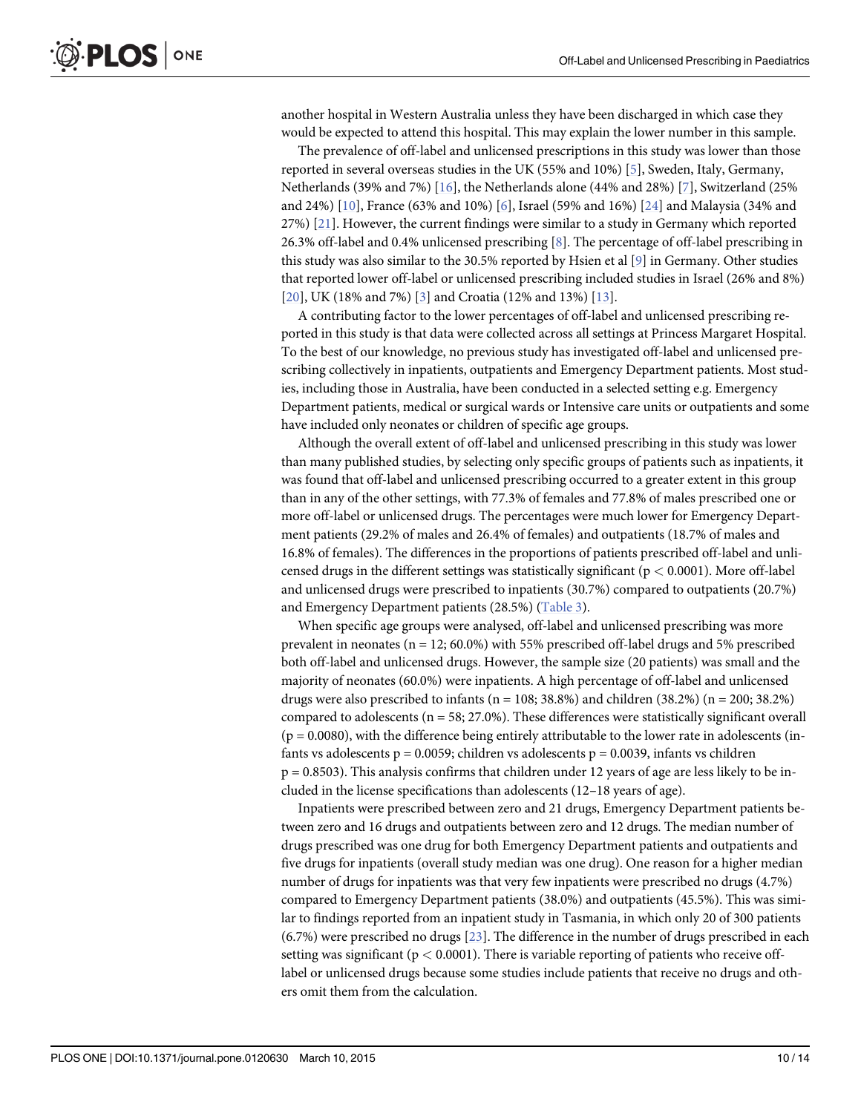another hospital in Western Australia unless they have been discharged in which case they would be expected to attend this hospital. This may explain the lower number in this sample.

The prevalence of off-label and unlicensed prescriptions in this study was lower than those reported in several overseas studies in the UK (55% and 10%) [\[5](#page-12-0)], Sweden, Italy, Germany, Netherlands (39% and 7%) [\[16](#page-12-0)], the Netherlands alone (44% and 28%) [\[7](#page-12-0)], Switzerland (25% and 24%) [\[10\]](#page-12-0), France (63% and 10%) [\[6\]](#page-12-0), Israel (59% and 16%) [[24](#page-13-0)] and Malaysia (34% and 27%)  $[21]$ . However, the current findings were similar to a study in Germany which reported 26.3% off-label and 0.4% unlicensed prescribing [\[8](#page-12-0)]. The percentage of off-label prescribing in this study was also similar to the 30.5% reported by Hsien et al [\[9\]](#page-12-0) in Germany. Other studies that reported lower off-label or unlicensed prescribing included studies in Israel (26% and 8%) [\[20](#page-12-0)], UK (18% and 7%) [\[3](#page-12-0)] and Croatia (12% and 13%) [[13\]](#page-12-0).

A contributing factor to the lower percentages of off-label and unlicensed prescribing reported in this study is that data were collected across all settings at Princess Margaret Hospital. To the best of our knowledge, no previous study has investigated off-label and unlicensed prescribing collectively in inpatients, outpatients and Emergency Department patients. Most studies, including those in Australia, have been conducted in a selected setting e.g. Emergency Department patients, medical or surgical wards or Intensive care units or outpatients and some have included only neonates or children of specific age groups.

Although the overall extent of off-label and unlicensed prescribing in this study was lower than many published studies, by selecting only specific groups of patients such as inpatients, it was found that off-label and unlicensed prescribing occurred to a greater extent in this group than in any of the other settings, with 77.3% of females and 77.8% of males prescribed one or more off-label or unlicensed drugs. The percentages were much lower for Emergency Department patients (29.2% of males and 26.4% of females) and outpatients (18.7% of males and 16.8% of females). The differences in the proportions of patients prescribed off-label and unlicensed drugs in the different settings was statistically significant ( $p < 0.0001$ ). More off-label and unlicensed drugs were prescribed to inpatients (30.7%) compared to outpatients (20.7%) and Emergency Department patients (28.5%) ([Table 3](#page-6-0)).

When specific age groups were analysed, off-label and unlicensed prescribing was more prevalent in neonates ( $n = 12$ ; 60.0%) with 55% prescribed off-label drugs and 5% prescribed both off-label and unlicensed drugs. However, the sample size (20 patients) was small and the majority of neonates (60.0%) were inpatients. A high percentage of off-label and unlicensed drugs were also prescribed to infants ( $n = 108$ ; 38.8%) and children (38.2%) ( $n = 200$ ; 38.2%) compared to adolescents (n = 58; 27.0%). These differences were statistically significant overall  $(p = 0.0080)$ , with the difference being entirely attributable to the lower rate in adolescents (infants vs adolescents  $p = 0.0059$ ; children vs adolescents  $p = 0.0039$ , infants vs children  $p = 0.8503$ ). This analysis confirms that children under 12 years of age are less likely to be included in the license specifications than adolescents (12–18 years of age).

Inpatients were prescribed between zero and 21 drugs, Emergency Department patients between zero and 16 drugs and outpatients between zero and 12 drugs. The median number of drugs prescribed was one drug for both Emergency Department patients and outpatients and five drugs for inpatients (overall study median was one drug). One reason for a higher median number of drugs for inpatients was that very few inpatients were prescribed no drugs (4.7%) compared to Emergency Department patients (38.0%) and outpatients (45.5%). This was similar to findings reported from an inpatient study in Tasmania, in which only 20 of 300 patients (6.7%) were prescribed no drugs [[23](#page-12-0)]. The difference in the number of drugs prescribed in each setting was significant ( $p < 0.0001$ ). There is variable reporting of patients who receive offlabel or unlicensed drugs because some studies include patients that receive no drugs and others omit them from the calculation.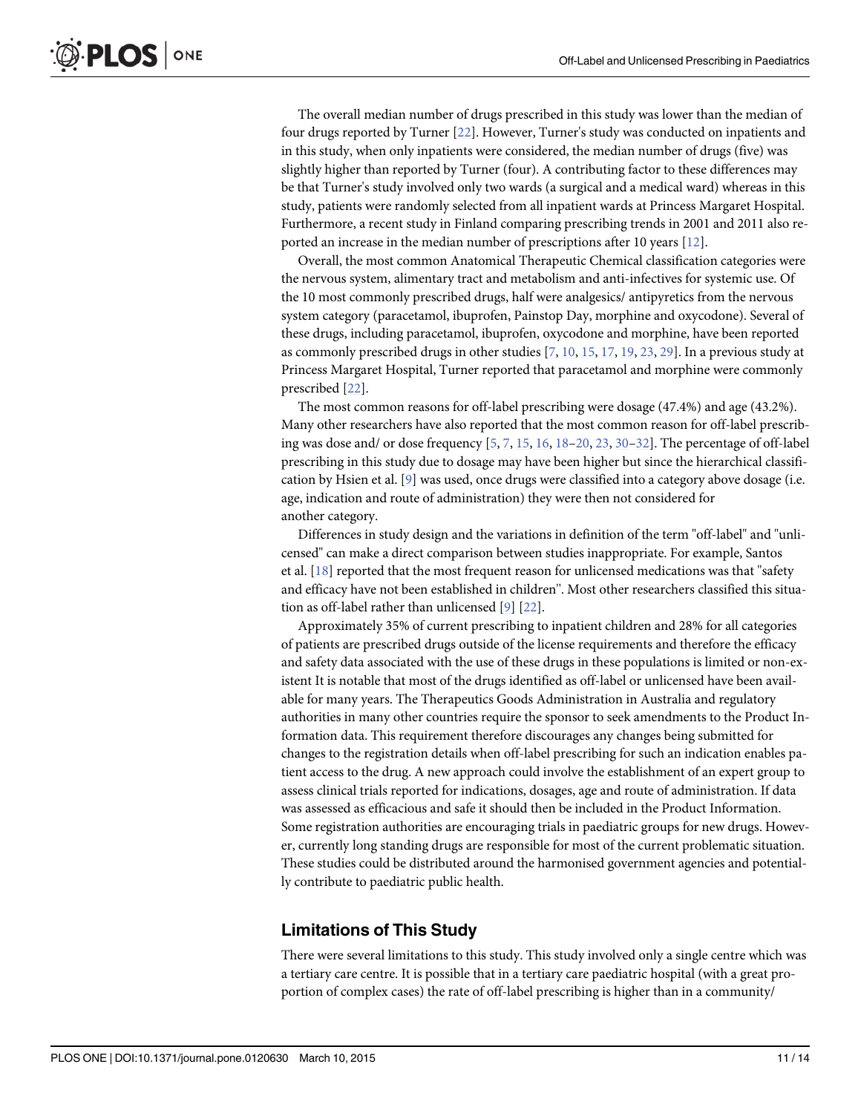<span id="page-10-0"></span>The overall median number of drugs prescribed in this study was lower than the median of four drugs reported by Turner [\[22](#page-12-0)]. However, Turner's study was conducted on inpatients and in this study, when only inpatients were considered, the median number of drugs (five) was slightly higher than reported by Turner (four). A contributing factor to these differences may be that Turner's study involved only two wards (a surgical and a medical ward) whereas in this study, patients were randomly selected from all inpatient wards at Princess Margaret Hospital. Furthermore, a recent study in Finland comparing prescribing trends in 2001 and 2011 also reported an increase in the median number of prescriptions after 10 years [\[12\]](#page-12-0).

Overall, the most common Anatomical Therapeutic Chemical classification categories were the nervous system, alimentary tract and metabolism and anti-infectives for systemic use. Of the 10 most commonly prescribed drugs, half were analgesics/ antipyretics from the nervous system category (paracetamol, ibuprofen, Painstop Day, morphine and oxycodone). Several of these drugs, including paracetamol, ibuprofen, oxycodone and morphine, have been reported as commonly prescribed drugs in other studies [\[7](#page-12-0), [10](#page-12-0), [15](#page-12-0), [17](#page-12-0), [19](#page-12-0), [23](#page-12-0), [29](#page-13-0)]. In a previous study at Princess Margaret Hospital, Turner reported that paracetamol and morphine were commonly prescribed [\[22\]](#page-12-0).

The most common reasons for off-label prescribing were dosage (47.4%) and age (43.2%). Many other researchers have also reported that the most common reason for off-label prescribing was dose and/ or dose frequency  $[5, 7, 15, 16, 18-20, 23, 30-32]$  $[5, 7, 15, 16, 18-20, 23, 30-32]$  $[5, 7, 15, 16, 18-20, 23, 30-32]$  $[5, 7, 15, 16, 18-20, 23, 30-32]$  $[5, 7, 15, 16, 18-20, 23, 30-32]$  $[5, 7, 15, 16, 18-20, 23, 30-32]$  $[5, 7, 15, 16, 18-20, 23, 30-32]$  $[5, 7, 15, 16, 18-20, 23, 30-32]$  $[5, 7, 15, 16, 18-20, 23, 30-32]$  $[5, 7, 15, 16, 18-20, 23, 30-32]$  $[5, 7, 15, 16, 18-20, 23, 30-32]$  $[5, 7, 15, 16, 18-20, 23, 30-32]$  $[5, 7, 15, 16, 18-20, 23, 30-32]$  $[5, 7, 15, 16, 18-20, 23, 30-32]$  $[5, 7, 15, 16, 18-20, 23, 30-32]$  $[5, 7, 15, 16, 18-20, 23, 30-32]$  $[5, 7, 15, 16, 18-20, 23, 30-32]$  $[5, 7, 15, 16, 18-20, 23, 30-32]$ . The percentage of off-label prescribing in this study due to dosage may have been higher but since the hierarchical classifi-cation by Hsien et al. [\[9](#page-12-0)] was used, once drugs were classified into a category above dosage (i.e. age, indication and route of administration) they were then not considered for another category.

Differences in study design and the variations in definition of the term "off-label" and "unlicensed" can make a direct comparison between studies inappropriate. For example, Santos et al. [\[18\]](#page-12-0) reported that the most frequent reason for unlicensed medications was that ''safety and efficacy have not been established in children''. Most other researchers classified this situation as off-label rather than unlicensed [[9](#page-12-0)] [\[22\]](#page-12-0).

Approximately 35% of current prescribing to inpatient children and 28% for all categories of patients are prescribed drugs outside of the license requirements and therefore the efficacy and safety data associated with the use of these drugs in these populations is limited or non-existent It is notable that most of the drugs identified as off-label or unlicensed have been available for many years. The Therapeutics Goods Administration in Australia and regulatory authorities in many other countries require the sponsor to seek amendments to the Product Information data. This requirement therefore discourages any changes being submitted for changes to the registration details when off-label prescribing for such an indication enables patient access to the drug. A new approach could involve the establishment of an expert group to assess clinical trials reported for indications, dosages, age and route of administration. If data was assessed as efficacious and safe it should then be included in the Product Information. Some registration authorities are encouraging trials in paediatric groups for new drugs. However, currently long standing drugs are responsible for most of the current problematic situation. These studies could be distributed around the harmonised government agencies and potentially contribute to paediatric public health.

#### Limitations of This Study

There were several limitations to this study. This study involved only a single centre which was a tertiary care centre. It is possible that in a tertiary care paediatric hospital (with a great proportion of complex cases) the rate of off-label prescribing is higher than in a community/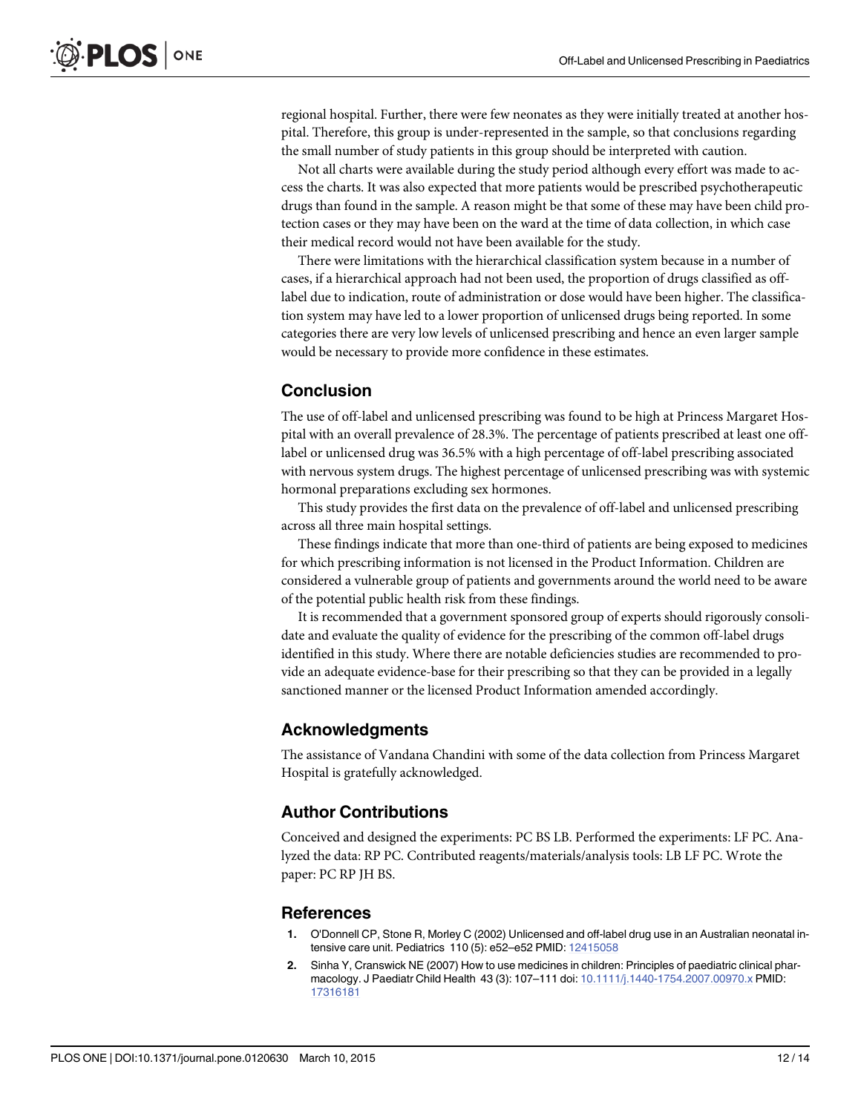<span id="page-11-0"></span>regional hospital. Further, there were few neonates as they were initially treated at another hospital. Therefore, this group is under-represented in the sample, so that conclusions regarding the small number of study patients in this group should be interpreted with caution.

Not all charts were available during the study period although every effort was made to access the charts. It was also expected that more patients would be prescribed psychotherapeutic drugs than found in the sample. A reason might be that some of these may have been child protection cases or they may have been on the ward at the time of data collection, in which case their medical record would not have been available for the study.

There were limitations with the hierarchical classification system because in a number of cases, if a hierarchical approach had not been used, the proportion of drugs classified as offlabel due to indication, route of administration or dose would have been higher. The classification system may have led to a lower proportion of unlicensed drugs being reported. In some categories there are very low levels of unlicensed prescribing and hence an even larger sample would be necessary to provide more confidence in these estimates.

#### Conclusion

The use of off-label and unlicensed prescribing was found to be high at Princess Margaret Hospital with an overall prevalence of 28.3%. The percentage of patients prescribed at least one offlabel or unlicensed drug was 36.5% with a high percentage of off-label prescribing associated with nervous system drugs. The highest percentage of unlicensed prescribing was with systemic hormonal preparations excluding sex hormones.

This study provides the first data on the prevalence of off-label and unlicensed prescribing across all three main hospital settings.

These findings indicate that more than one-third of patients are being exposed to medicines for which prescribing information is not licensed in the Product Information. Children are considered a vulnerable group of patients and governments around the world need to be aware of the potential public health risk from these findings.

It is recommended that a government sponsored group of experts should rigorously consolidate and evaluate the quality of evidence for the prescribing of the common off-label drugs identified in this study. Where there are notable deficiencies studies are recommended to provide an adequate evidence-base for their prescribing so that they can be provided in a legally sanctioned manner or the licensed Product Information amended accordingly.

#### Acknowledgments

The assistance of Vandana Chandini with some of the data collection from Princess Margaret Hospital is gratefully acknowledged.

#### Author Contributions

Conceived and designed the experiments: PC BS LB. Performed the experiments: LF PC. Analyzed the data: RP PC. Contributed reagents/materials/analysis tools: LB LF PC. Wrote the paper: PC RP JH BS.

#### References

- [1.](#page-1-0) O'Donnell CP, Stone R, Morley C (2002) Unlicensed and off-label drug use in an Australian neonatal intensive care unit. Pediatrics 110 (5): e52–e52 PMID: [12415058](http://www.ncbi.nlm.nih.gov/pubmed/12415058)
- [2.](#page-1-0) Sinha Y, Cranswick NE (2007) How to use medicines in children: Principles of paediatric clinical pharmacology. J Paediatr Child Health 43 (3): 107–111 doi: [10.1111/j.1440-1754.2007.00970.x](http://dx.doi.org/10.1111/j.1440-1754.2007.00970.x) PMID: [17316181](http://www.ncbi.nlm.nih.gov/pubmed/17316181)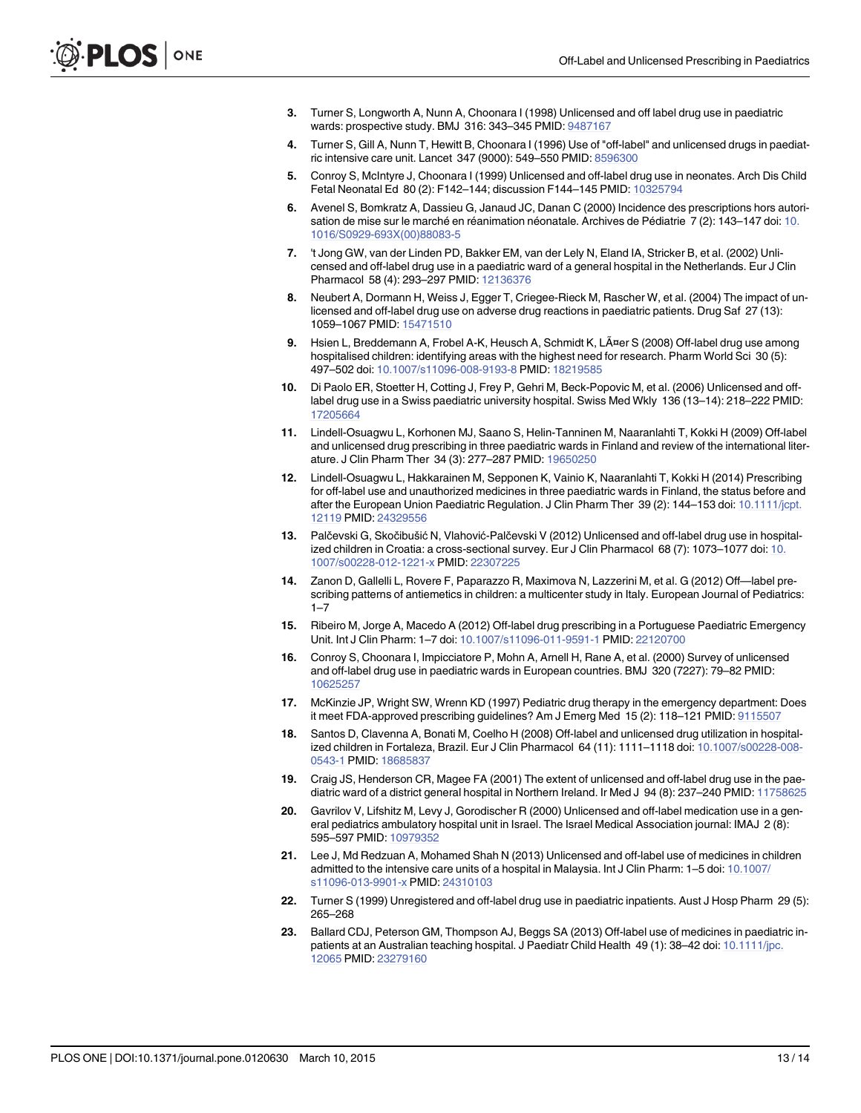- <span id="page-12-0"></span>[3.](#page-1-0) Turner S, Longworth A, Nunn A, Choonara I (1998) Unlicensed and off label drug use in paediatric wards: prospective study. BMJ 316: 343–345 PMID: [9487167](http://www.ncbi.nlm.nih.gov/pubmed/9487167)
- [4.](#page-1-0) Turner S, Gill A, Nunn T, Hewitt B, Choonara I (1996) Use of "off-label" and unlicensed drugs in paediatric intensive care unit. Lancet 347 (9000): 549–550 PMID: [8596300](http://www.ncbi.nlm.nih.gov/pubmed/8596300)
- [5.](#page-1-0) Conroy S, McIntyre J, Choonara I (1999) Unlicensed and off-label drug use in neonates. Arch Dis Child Fetal Neonatal Ed 80 (2): F142–144; discussion F144–145 PMID: [10325794](http://www.ncbi.nlm.nih.gov/pubmed/10325794)
- [6.](#page-1-0) Avenel S, Bomkratz A, Dassieu G, Janaud JC, Danan C (2000) Incidence des prescriptions hors autorisation de mise sur le marché en réanimation néonatale. Archives de Pédiatrie 7 (2): 143–147 doi: [10.](http://dx.doi.org/10.1016/S0929-693X(00)88083-5) [1016/S0929-693X\(00\)88083-5](http://dx.doi.org/10.1016/S0929-693X(00)88083-5)
- [7.](#page-1-0) 't Jong GW, van der Linden PD, Bakker EM, van der Lely N, Eland IA, Stricker B, et al. (2002) Unlicensed and off-label drug use in a paediatric ward of a general hospital in the Netherlands. Eur J Clin Pharmacol 58 (4): 293–297 PMID: [12136376](http://www.ncbi.nlm.nih.gov/pubmed/12136376)
- [8.](#page-1-0) Neubert A, Dormann H, Weiss J, Egger T, Criegee-Rieck M, Rascher W, et al. (2004) The impact of unlicensed and off-label drug use on adverse drug reactions in paediatric patients. Drug Saf 27 (13): 1059-1067 PMID: [15471510](http://www.ncbi.nlm.nih.gov/pubmed/15471510)
- [9.](#page-1-0) Hsien L, Breddemann A, Frobel A-K, Heusch A, Schmidt K, LÃ¤er S (2008) Off-label drug use among hospitalised children: identifying areas with the highest need for research. Pharm World Sci 30 (5): 497–502 doi: [10.1007/s11096-008-9193-8](http://dx.doi.org/10.1007/s11096-008-9193-8) PMID: [18219585](http://www.ncbi.nlm.nih.gov/pubmed/18219585)
- [10.](#page-1-0) Di Paolo ER, Stoetter H, Cotting J, Frey P, Gehri M, Beck-Popovic M, et al. (2006) Unlicensed and offlabel drug use in a Swiss paediatric university hospital. Swiss Med Wkly 136 (13–14): 218–222 PMID: [17205664](http://www.ncbi.nlm.nih.gov/pubmed/17205664)
- [11.](#page-1-0) Lindell-Osuagwu L, Korhonen MJ, Saano S, Helin-Tanninen M, Naaranlahti T, Kokki H (2009) Off-label and unlicensed drug prescribing in three paediatric wards in Finland and review of the international literature. J Clin Pharm Ther 34 (3): 277–287 PMID: [19650250](http://www.ncbi.nlm.nih.gov/pubmed/19650250)
- [12.](#page-1-0) Lindell-Osuagwu L, Hakkarainen M, Sepponen K, Vainio K, Naaranlahti T, Kokki H (2014) Prescribing for off-label use and unauthorized medicines in three paediatric wards in Finland, the status before and after the European Union Paediatric Regulation. J Clin Pharm Ther 39 (2): 144-153 doi: [10.1111/jcpt.](http://dx.doi.org/10.1111/jcpt.12119) [12119](http://dx.doi.org/10.1111/jcpt.12119) PMID: [24329556](http://www.ncbi.nlm.nih.gov/pubmed/24329556)
- [13.](#page-1-0) Palčevski G, Skočibušić N, Vlahović-Palčevski V (2012) Unlicensed and off-label drug use in hospitalized children in Croatia: a cross-sectional survey. Eur J Clin Pharmacol 68 (7): 1073–1077 doi: [10.](http://dx.doi.org/10.1007/s00228-012-1221-x) [1007/s00228-012-1221-x](http://dx.doi.org/10.1007/s00228-012-1221-x) PMID: [22307225](http://www.ncbi.nlm.nih.gov/pubmed/22307225)
- [14.](#page-1-0) Zanon D, Gallelli L, Rovere F, Paparazzo R, Maximova N, Lazzerini M, et al. G (2012) Off—label prescribing patterns of antiemetics in children: a multicenter study in Italy. European Journal of Pediatrics:  $1 - 7$
- [15.](#page-1-0) Ribeiro M, Jorge A, Macedo A (2012) Off-label drug prescribing in a Portuguese Paediatric Emergency Unit. Int J Clin Pharm: 1–7 doi: [10.1007/s11096-011-9591-1](http://dx.doi.org/10.1007/s11096-011-9591-1) PMID: [22120700](http://www.ncbi.nlm.nih.gov/pubmed/22120700)
- [16.](#page-1-0) Conroy S, Choonara I, Impicciatore P, Mohn A, Arnell H, Rane A, et al. (2000) Survey of unlicensed and off-label drug use in paediatric wards in European countries. BMJ 320 (7227): 79–82 PMID: [10625257](http://www.ncbi.nlm.nih.gov/pubmed/10625257)
- [17.](#page-1-0) McKinzie JP, Wright SW, Wrenn KD (1997) Pediatric drug therapy in the emergency department: Does it meet FDA-approved prescribing guidelines? Am J Emerg Med 15 (2): 118–121 PMID: [9115507](http://www.ncbi.nlm.nih.gov/pubmed/9115507)
- [18.](#page-1-0) Santos D, Clavenna A, Bonati M, Coelho H (2008) Off-label and unlicensed drug utilization in hospitalized children in Fortaleza, Brazil. Eur J Clin Pharmacol 64 (11): 1111–1118 doi: [10.1007/s00228-008-](http://dx.doi.org/10.1007/s00228-008-0543-1) [0543-1](http://dx.doi.org/10.1007/s00228-008-0543-1) PMID: [18685837](http://www.ncbi.nlm.nih.gov/pubmed/18685837)
- [19.](#page-1-0) Craig JS, Henderson CR, Magee FA (2001) The extent of unlicensed and off-label drug use in the paediatric ward of a district general hospital in Northern Ireland. Ir Med J 94 (8): 237–240 PMID: [11758625](http://www.ncbi.nlm.nih.gov/pubmed/11758625)
- [20.](#page-1-0) Gavrilov V, Lifshitz M, Levy J, Gorodischer R (2000) Unlicensed and off-label medication use in a general pediatrics ambulatory hospital unit in Israel. The Israel Medical Association journal: IMAJ 2 (8): 595–597 PMID: [10979352](http://www.ncbi.nlm.nih.gov/pubmed/10979352)
- [21.](#page-1-0) Lee J, Md Redzuan A, Mohamed Shah N (2013) Unlicensed and off-label use of medicines in children admitted to the intensive care units of a hospital in Malaysia. Int J Clin Pharm: 1–5 doi: [10.1007/](http://dx.doi.org/10.1007/s11096-013-9901-x) [s11096-013-9901-x](http://dx.doi.org/10.1007/s11096-013-9901-x) PMID: [24310103](http://www.ncbi.nlm.nih.gov/pubmed/24310103)
- [22.](#page-1-0) Turner S (1999) Unregistered and off-label drug use in paediatric inpatients. Aust J Hosp Pharm 29 (5): 265–268
- [23.](#page-1-0) Ballard CDJ, Peterson GM, Thompson AJ, Beggs SA (2013) Off-label use of medicines in paediatric inpatients at an Australian teaching hospital. J Paediatr Child Health 49 (1): 38–42 doi: [10.1111/jpc.](http://dx.doi.org/10.1111/jpc.12065) [12065](http://dx.doi.org/10.1111/jpc.12065) PMID: [23279160](http://www.ncbi.nlm.nih.gov/pubmed/23279160)